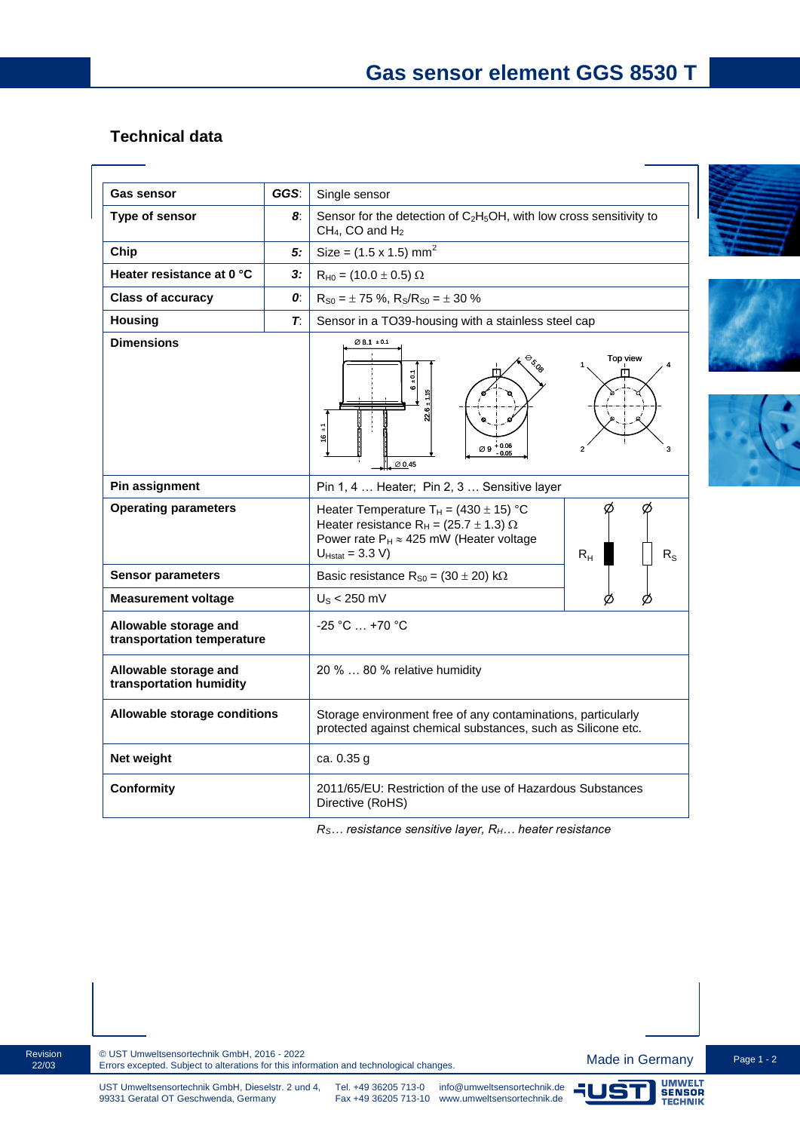## **Technical data**

| <b>Gas sensor</b>                                   | GGS: | Single sensor                                                                                                                                                                                                   |
|-----------------------------------------------------|------|-----------------------------------------------------------------------------------------------------------------------------------------------------------------------------------------------------------------|
| Type of sensor                                      | 8.   | Sensor for the detection of $C_2H_5OH$ , with low cross sensitivity to<br>$CH4$ , CO and $H2$                                                                                                                   |
| Chip                                                | 5:   | Size = $(1.5 \times 1.5)$ mm <sup>2</sup>                                                                                                                                                                       |
| Heater resistance at 0 °C                           | 3:   | $R_{H0} = (10.0 \pm 0.5) \Omega$                                                                                                                                                                                |
| <b>Class of accuracy</b>                            | 0:   | $R_{S0} = \pm 75$ %, $R_S/R_{S0} = \pm 30$ %                                                                                                                                                                    |
| <b>Housing</b>                                      | Т.   | Sensor in a TO39-housing with a stainless steel cap                                                                                                                                                             |
| <b>Dimensions</b>                                   |      | $\varnothing$ 8.1 $\pm$ 0.1<br>Top view<br>$\frac{2}{9}$<br>$16 \pm 1$<br>$\varnothing$ 9 + 0.06<br>$\overline{2}$<br>3<br>$\varnothing$ 0.45                                                                   |
| Pin assignment                                      |      | Pin 1, 4  Heater; Pin 2, 3  Sensitive layer                                                                                                                                                                     |
| <b>Operating parameters</b>                         |      | Ø<br>Heater Temperature $T_H = (430 \pm 15)$ °C<br>Heater resistance R <sub>H</sub> = (25.7 $\pm$ 1.3) $\Omega$<br>Power rate $P_H \approx 425$ mW (Heater voltage<br>$U_{Hstat} = 3.3 V$<br>$R_{H}$<br>$R_{S}$ |
| <b>Sensor parameters</b>                            |      | Basic resistance $R_{S0} = (30 \pm 20) \text{ k}\Omega$                                                                                                                                                         |
| <b>Measurement voltage</b>                          |      | $US < 250$ mV                                                                                                                                                                                                   |
| Allowable storage and<br>transportation temperature |      | $-25 °C  +70 °C$                                                                                                                                                                                                |
| Allowable storage and<br>transportation humidity    |      | 20 %  80 % relative humidity                                                                                                                                                                                    |
| Allowable storage conditions                        |      | Storage environment free of any contaminations, particularly<br>protected against chemical substances, such as Silicone etc.                                                                                    |
| Net weight                                          |      | ca. 0.35 g                                                                                                                                                                                                      |
| Conformity                                          |      | 2011/65/EU: Restriction of the use of Hazardous Substances<br>Directive (RoHS)                                                                                                                                  |

*RS… resistance sensitive layer, RH… heater resistance*







Revision 22/03